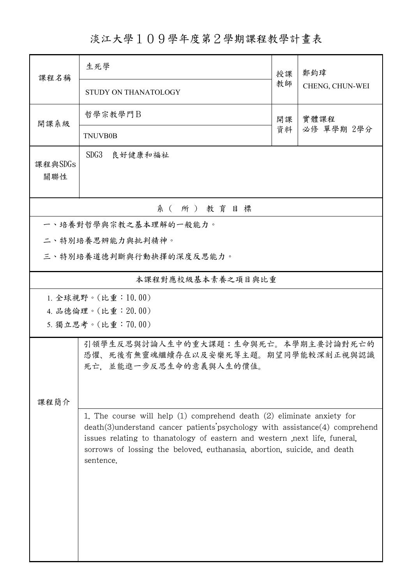## 淡江大學109學年度第2學期課程教學計畫表

| 課程名稱                  | 生死學                                                                                                                                                                                                                                                                                                                                      | 授課 | 鄭鈞瑋             |  |  |  |
|-----------------------|------------------------------------------------------------------------------------------------------------------------------------------------------------------------------------------------------------------------------------------------------------------------------------------------------------------------------------------|----|-----------------|--|--|--|
|                       | STUDY ON THANATOLOGY                                                                                                                                                                                                                                                                                                                     | 教師 | CHENG, CHUN-WEI |  |  |  |
| 開課系級                  | 哲學宗教學門B                                                                                                                                                                                                                                                                                                                                  | 開課 | 實體課程            |  |  |  |
|                       | <b>TNUVB0B</b>                                                                                                                                                                                                                                                                                                                           | 資料 | 必修 單學期 2學分      |  |  |  |
| 課程與SDGs<br>關聯性        | SDG3<br>良好健康和福祉                                                                                                                                                                                                                                                                                                                          |    |                 |  |  |  |
| 系(所)教育目標              |                                                                                                                                                                                                                                                                                                                                          |    |                 |  |  |  |
| 一、培養對哲學與宗教之基本理解的一般能力。 |                                                                                                                                                                                                                                                                                                                                          |    |                 |  |  |  |
|                       | 二、特別培養思辨能力與批判精神。                                                                                                                                                                                                                                                                                                                         |    |                 |  |  |  |
|                       | 三、特別培養道德判斷與行動抉擇的深度反思能力。                                                                                                                                                                                                                                                                                                                  |    |                 |  |  |  |
| 本課程對應校級基本素養之項目與比重     |                                                                                                                                                                                                                                                                                                                                          |    |                 |  |  |  |
|                       | 1. 全球視野。(比重:10.00)                                                                                                                                                                                                                                                                                                                       |    |                 |  |  |  |
|                       | 4. 品德倫理。(比重: 20.00)                                                                                                                                                                                                                                                                                                                      |    |                 |  |  |  |
|                       | 5. 獨立思考。(比重:70.00)                                                                                                                                                                                                                                                                                                                       |    |                 |  |  |  |
|                       | 引領學生反思與討論人生中的重大課題:生命與死亡。本學期主要討論對死亡的<br>恐懼、死後有無靈魂繼續存在以及安樂死等主題。期望同學能較深刻正視與認識<br>死亡, 並能進一步反思生命的意義與人生的價值。                                                                                                                                                                                                                                    |    |                 |  |  |  |
| 課程簡介                  |                                                                                                                                                                                                                                                                                                                                          |    |                 |  |  |  |
|                       | 1. The course will help $(1)$ comprehend death $(2)$ eliminate anxiety for<br>$death(3)$ understand cancer patients' psychology with assistance $(4)$ comprehend<br>issues relating to thanatology of eastern and western , next life, funeral,<br>sorrows of lossing the beloved, euthanasia, abortion, suicide, and death<br>sentence. |    |                 |  |  |  |
|                       |                                                                                                                                                                                                                                                                                                                                          |    |                 |  |  |  |
|                       |                                                                                                                                                                                                                                                                                                                                          |    |                 |  |  |  |
|                       |                                                                                                                                                                                                                                                                                                                                          |    |                 |  |  |  |
|                       |                                                                                                                                                                                                                                                                                                                                          |    |                 |  |  |  |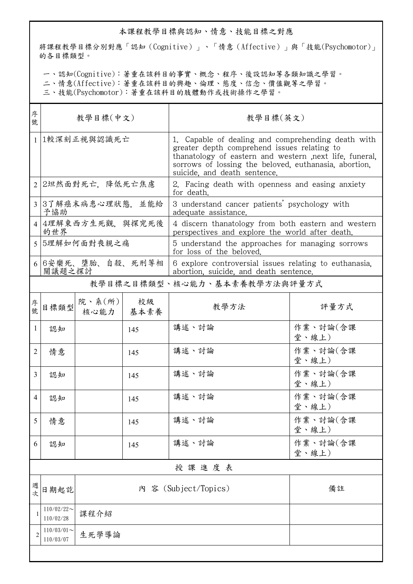## 本課程教學目標與認知、情意、技能目標之對應

將課程教學目標分別對應「認知(Cognitive)」、「情意(Affective)」與「技能(Psychomotor)」 的各目標類型。

一、認知(Cognitive):著重在該科目的事實、概念、程序、後設認知等各類知識之學習。

二、情意(Affective):著重在該科目的興趣、倫理、態度、信念、價值觀等之學習。

三、技能(Psychomotor):著重在該科目的肢體動作或技術操作之學習。

| 序<br>號       | 教學目標(中文)                            |                          |            | 教學目標(英文)                                                                                                                                                                                                                                               |                   |  |
|--------------|-------------------------------------|--------------------------|------------|--------------------------------------------------------------------------------------------------------------------------------------------------------------------------------------------------------------------------------------------------------|-------------------|--|
| $\mathbf{1}$ | 1較深刻正視與認識死亡                         |                          |            | 1. Capable of dealing and comprehending death with<br>greater depth comprehend issues relating to<br>thanatology of eastern and western , next life, funeral,<br>sorrows of lossing the beloved, euthanasia, abortion,<br>suicide, and death sentence. |                   |  |
|              | 2 2坦然面對死亡, 降低死亡焦慮                   |                          |            | 2. Facing death with openness and easing anxiety<br>for death.                                                                                                                                                                                         |                   |  |
|              | 3 3了解癌末病患心理狀態,並能給<br>予協助            |                          |            | 3 understand cancer patients' psychology with<br>adequate assistance.                                                                                                                                                                                  |                   |  |
|              | 4   4理解東西方生死觀,與探究死後<br>的世界          |                          |            | 4 discern thanatology from both eastern and western<br>perspectives and explore the world after death.                                                                                                                                                 |                   |  |
|              | 5 5理解如何面對喪親之痛                       |                          |            | 5 understand the approaches for managing sorrows<br>for loss of the beloved.                                                                                                                                                                           |                   |  |
|              | 6 6安樂死、墮胎、自殺、死刑等相<br>關議題之探討         |                          |            | 6 explore controversial issues relating to euthanasia.<br>abortion, suicide, and death sentence.                                                                                                                                                       |                   |  |
|              |                                     |                          |            | 教學目標之目標類型、核心能力、基本素養教學方法與評量方式                                                                                                                                                                                                                           |                   |  |
| 序號           | 目標類型                                | 院、系 $(\text{m})$<br>核心能力 | 校級<br>基本素養 | 教學方法                                                                                                                                                                                                                                                   | 評量方式              |  |
| 1            | 認知                                  |                          | 145        | 講述、討論                                                                                                                                                                                                                                                  | 作業、討論(含課<br>堂、線上) |  |
| 2            | 情意                                  |                          | 145        | 講述、討論                                                                                                                                                                                                                                                  | 作業、討論(含課<br>堂、線上) |  |
| 3            | 認知                                  |                          | 145        | 講述、討論                                                                                                                                                                                                                                                  | 作業、討論(含課<br>堂、線上) |  |
| 4            | 認知                                  |                          | 145        | 講述、討論                                                                                                                                                                                                                                                  | 作業、討論(含課<br>堂、線上) |  |
| 5            | 情意                                  |                          | 145        | 講述、討論                                                                                                                                                                                                                                                  | 作業、討論(含課<br>堂、線上) |  |
| 6            | 認知                                  |                          | 145        | 講述、討論                                                                                                                                                                                                                                                  | 作業、討論(含課<br>堂、線上) |  |
|              | 授課進度表                               |                          |            |                                                                                                                                                                                                                                                        |                   |  |
| 週次           | 日期起訖                                |                          |            | 内 容 (Subject/Topics)                                                                                                                                                                                                                                   | 備註                |  |
|              | $110/02/22$ ~<br>110/02/28          | 課程介紹                     |            |                                                                                                                                                                                                                                                        |                   |  |
|              | $110/03/01$ ~<br>生死學導論<br>110/03/07 |                          |            |                                                                                                                                                                                                                                                        |                   |  |
|              |                                     |                          |            |                                                                                                                                                                                                                                                        |                   |  |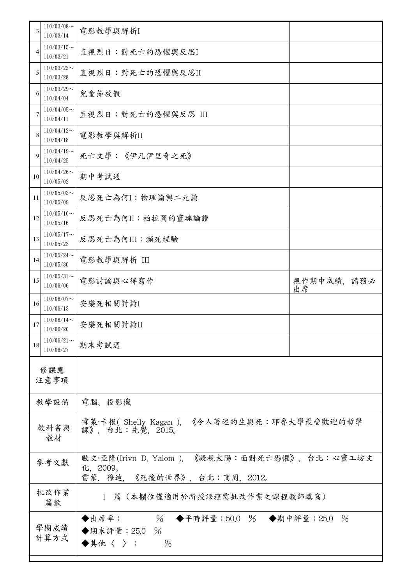| 3          | $110/03/08$ ~<br>110/03/14 | 電影教學與解析I                                                                                   |                  |  |
|------------|----------------------------|--------------------------------------------------------------------------------------------|------------------|--|
| 4          | $110/03/15$ ~<br>110/03/21 | 直視烈日:對死亡的恐懼與反思I                                                                            |                  |  |
| 5          | $110/03/22$ ~<br>110/03/28 | 直視烈日:對死亡的恐懼與反思II                                                                           |                  |  |
| 6          | $110/03/29$ ~<br>110/04/04 | 兒童節放假                                                                                      |                  |  |
| 7          | $110/04/05$ ~<br>110/04/11 | 直視烈日:對死亡的恐懼與反思 III                                                                         |                  |  |
| 8          | $110/04/12$ ~<br>110/04/18 | 電影教學與解析II                                                                                  |                  |  |
| 9          | $110/04/19$ ~<br>110/04/25 | 死亡文學:《伊凡伊里奇之死》                                                                             |                  |  |
| 10         | $110/04/26$ ~<br>110/05/02 | 期中考試週                                                                                      |                  |  |
| 11         | $110/05/03$ ~<br>110/05/09 | 反思死亡為何I:物理論與二元論                                                                            |                  |  |
| 12         | $110/05/10$ ~<br>110/05/16 | 反思死亡為何II:柏拉圖的靈魂論證                                                                          |                  |  |
| 13         | $110/05/17$ ~<br>110/05/23 |                                                                                            |                  |  |
| 14         | $110/05/24$ ~<br>110/05/30 | 電影教學與解析 III                                                                                |                  |  |
| 15         | $110/05/31$ ~<br>110/06/06 | 電影討論與心得寫作                                                                                  | 視作期中成績,請務必<br>出席 |  |
| 16         | $110/06/07$ ~<br>110/06/13 | 安樂死相關討論I                                                                                   |                  |  |
| 17         | $110/06/14$ ~<br>110/06/20 | 安樂死相關討論II                                                                                  |                  |  |
| 18         | $110/06/21$ ~<br>110/06/27 | 期末考試週                                                                                      |                  |  |
|            | 修課應<br>注意事項                |                                                                                            |                  |  |
| 教學設備       |                            | 電腦、投影機                                                                                     |                  |  |
| 教科書與<br>教材 |                            | 雪萊·卡根(Shelly Kagan), 《令人著迷的生與死:耶魯大學最受歡迎的哲學<br>課》, 台北:先覺, 2015。                             |                  |  |
| 參考文獻       |                            | 歐文·亞隆(Irivn D. Yalom ),《凝視太陽:面對死亡恐懼》,台北:心靈工坊文<br>化, 2009。<br>雷蒙. 穆迪, 《死後的世界》, 台北:商周, 2012。 |                  |  |
|            | 批改作業<br>篇數                 | 1 篇 (本欄位僅適用於所授課程需批改作業之課程教師填寫)                                                              |                  |  |
|            | 學期成績<br>計算方式               | % ◆平時評量:50.0 % ◆期中評量:25.0 %<br>◆出席率:<br>◆期末評量: 25.0 %<br>$\frac{0}{0}$<br>◆其他〈 〉:          |                  |  |